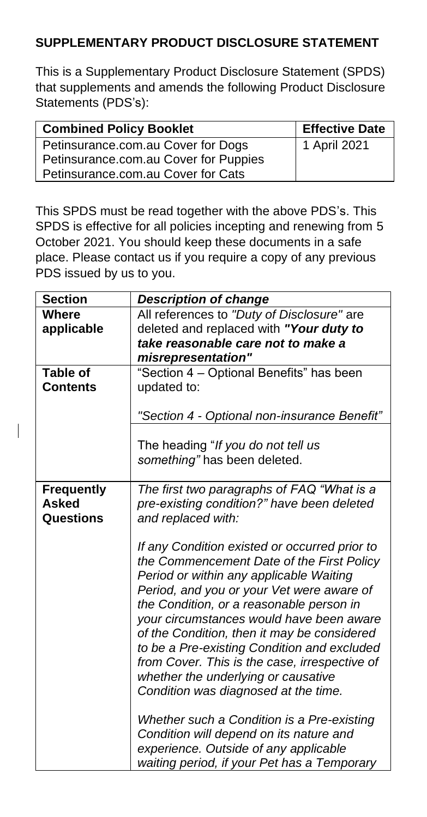## **SUPPLEMENTARY PRODUCT DISCLOSURE STATEMENT**

This is a Supplementary Product Disclosure Statement (SPDS) that supplements and amends the following Product Disclosure Statements (PDS's):

| <b>Combined Policy Booklet</b>        | <b>Effective Date</b> |
|---------------------------------------|-----------------------|
| Petinsurance.com.au Cover for Dogs    | 1 April 2021          |
| Petinsurance.com.au Cover for Puppies |                       |
| Petinsurance.com.au Cover for Cats    |                       |

This SPDS must be read together with the above PDS's. This SPDS is effective for all policies incepting and renewing from 5 October 2021. You should keep these documents in a safe place. Please contact us if you require a copy of any previous PDS issued by us to you.

| <b>Section</b>                     | <b>Description of change</b>                                                                                                                                                                                                                                                                                                                                                                                                                                                                             |
|------------------------------------|----------------------------------------------------------------------------------------------------------------------------------------------------------------------------------------------------------------------------------------------------------------------------------------------------------------------------------------------------------------------------------------------------------------------------------------------------------------------------------------------------------|
| <b>Where</b><br>applicable         | All references to "Duty of Disclosure" are<br>deleted and replaced with "Your duty to<br>take reasonable care not to make a                                                                                                                                                                                                                                                                                                                                                                              |
|                                    | misrepresentation"                                                                                                                                                                                                                                                                                                                                                                                                                                                                                       |
| <b>Table of</b><br><b>Contents</b> | "Section 4 - Optional Benefits" has been<br>updated to:                                                                                                                                                                                                                                                                                                                                                                                                                                                  |
|                                    | "Section 4 - Optional non-insurance Benefit"                                                                                                                                                                                                                                                                                                                                                                                                                                                             |
|                                    | The heading "If you do not tell us<br>something" has been deleted.                                                                                                                                                                                                                                                                                                                                                                                                                                       |
| <b>Frequently</b>                  | The first two paragraphs of FAQ "What is a                                                                                                                                                                                                                                                                                                                                                                                                                                                               |
| <b>Asked</b>                       | pre-existing condition?" have been deleted                                                                                                                                                                                                                                                                                                                                                                                                                                                               |
| Questions                          | and replaced with:                                                                                                                                                                                                                                                                                                                                                                                                                                                                                       |
|                                    | If any Condition existed or occurred prior to<br>the Commencement Date of the First Policy<br>Period or within any applicable Waiting<br>Period, and you or your Vet were aware of<br>the Condition, or a reasonable person in<br>your circumstances would have been aware<br>of the Condition, then it may be considered<br>to be a Pre-existing Condition and excluded<br>from Cover. This is the case, irrespective of<br>whether the underlying or causative<br>Condition was diagnosed at the time. |
|                                    | Whether such a Condition is a Pre-existing<br>Condition will depend on its nature and<br>experience. Outside of any applicable<br>waiting period, if your Pet has a Temporary                                                                                                                                                                                                                                                                                                                            |

 $\overline{\phantom{a}}$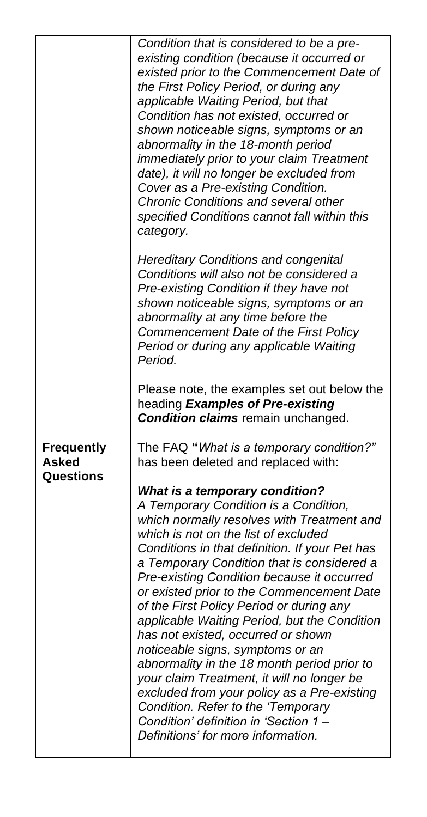|                                                | Condition that is considered to be a pre-<br>existing condition (because it occurred or<br>existed prior to the Commencement Date of<br>the First Policy Period, or during any<br>applicable Waiting Period, but that<br>Condition has not existed, occurred or<br>shown noticeable signs, symptoms or an<br>abnormality in the 18-month period<br>immediately prior to your claim Treatment<br>date), it will no longer be excluded from<br>Cover as a Pre-existing Condition.<br><b>Chronic Conditions and several other</b><br>specified Conditions cannot fall within this<br>category.                                                                                                                                                                                                                                                                                               |
|------------------------------------------------|-------------------------------------------------------------------------------------------------------------------------------------------------------------------------------------------------------------------------------------------------------------------------------------------------------------------------------------------------------------------------------------------------------------------------------------------------------------------------------------------------------------------------------------------------------------------------------------------------------------------------------------------------------------------------------------------------------------------------------------------------------------------------------------------------------------------------------------------------------------------------------------------|
|                                                | <b>Hereditary Conditions and congenital</b><br>Conditions will also not be considered a<br>Pre-existing Condition if they have not<br>shown noticeable signs, symptoms or an<br>abnormality at any time before the<br>Commencement Date of the First Policy<br>Period or during any applicable Waiting<br>Period.                                                                                                                                                                                                                                                                                                                                                                                                                                                                                                                                                                         |
|                                                | Please note, the examples set out below the<br>heading Examples of Pre-existing<br><b>Condition claims</b> remain unchanged.                                                                                                                                                                                                                                                                                                                                                                                                                                                                                                                                                                                                                                                                                                                                                              |
| <b>Frequently</b><br><b>Asked</b><br>Questions | The FAQ "What is a temporary condition?"<br>has been deleted and replaced with:<br><b>What is a temporary condition?</b><br>A Temporary Condition is a Condition,<br>which normally resolves with Treatment and<br>which is not on the list of excluded<br>Conditions in that definition. If your Pet has<br>a Temporary Condition that is considered a<br>Pre-existing Condition because it occurred<br>or existed prior to the Commencement Date<br>of the First Policy Period or during any<br>applicable Waiting Period, but the Condition<br>has not existed, occurred or shown<br>noticeable signs, symptoms or an<br>abnormality in the 18 month period prior to<br>your claim Treatment, it will no longer be<br>excluded from your policy as a Pre-existing<br>Condition. Refer to the 'Temporary<br>Condition' definition in 'Section 1 -<br>Definitions' for more information. |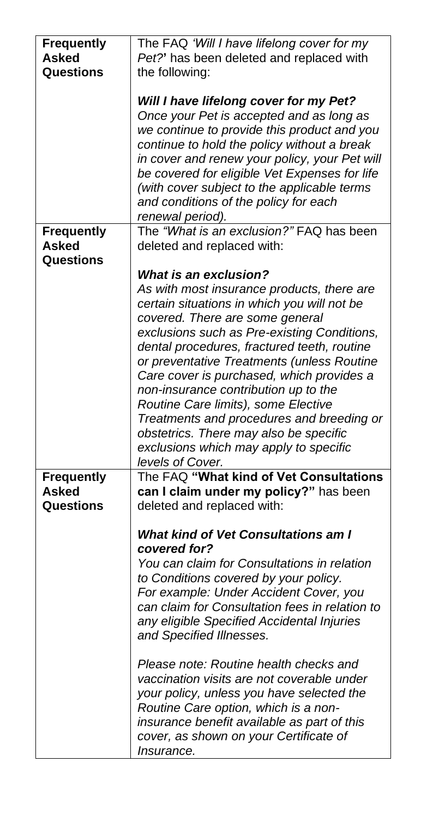| <b>Frequently</b> | The FAQ 'Will I have lifelong cover for my                                                 |
|-------------------|--------------------------------------------------------------------------------------------|
| <b>Asked</b>      | Pet?' has been deleted and replaced with                                                   |
| Questions         | the following:                                                                             |
|                   |                                                                                            |
|                   | Will I have lifelong cover for my Pet?                                                     |
|                   | Once your Pet is accepted and as long as                                                   |
|                   | we continue to provide this product and you<br>continue to hold the policy without a break |
|                   | in cover and renew your policy, your Pet will                                              |
|                   | be covered for eligible Vet Expenses for life                                              |
|                   | (with cover subject to the applicable terms                                                |
|                   | and conditions of the policy for each                                                      |
|                   | renewal period).                                                                           |
| <b>Frequently</b> | The "What is an exclusion?" FAQ has been                                                   |
| <b>Asked</b>      | deleted and replaced with:                                                                 |
| Questions         |                                                                                            |
|                   | <b>What is an exclusion?</b>                                                               |
|                   | As with most insurance products, there are                                                 |
|                   | certain situations in which you will not be                                                |
|                   | covered. There are some general                                                            |
|                   | exclusions such as Pre-existing Conditions,                                                |
|                   | dental procedures, fractured teeth, routine                                                |
|                   | or preventative Treatments (unless Routine                                                 |
|                   | Care cover is purchased, which provides a<br>non-insurance contribution up to the          |
|                   | Routine Care limits), some Elective                                                        |
|                   | Treatments and procedures and breeding or                                                  |
|                   | obstetrics. There may also be specific                                                     |
|                   | exclusions which may apply to specific                                                     |
|                   | levels of Cover.                                                                           |
| <b>Frequently</b> | The FAQ "What kind of Vet Consultations                                                    |
| <b>Asked</b>      | can I claim under my policy?" has been                                                     |
| Questions         | deleted and replaced with:                                                                 |
|                   |                                                                                            |
|                   | <b>What kind of Vet Consultations am I</b>                                                 |
|                   | covered for?<br>You can claim for Consultations in relation                                |
|                   | to Conditions covered by your policy.                                                      |
|                   | For example: Under Accident Cover, you                                                     |
|                   | can claim for Consultation fees in relation to                                             |
|                   | any eligible Specified Accidental Injuries                                                 |
|                   | and Specified Illnesses.                                                                   |
|                   |                                                                                            |
|                   | Please note: Routine health checks and                                                     |
|                   | vaccination visits are not coverable under                                                 |
|                   | your policy, unless you have selected the                                                  |
|                   | Routine Care option, which is a non-                                                       |
|                   | insurance benefit available as part of this                                                |
|                   | cover, as shown on your Certificate of                                                     |
|                   | <i>Insurance.</i>                                                                          |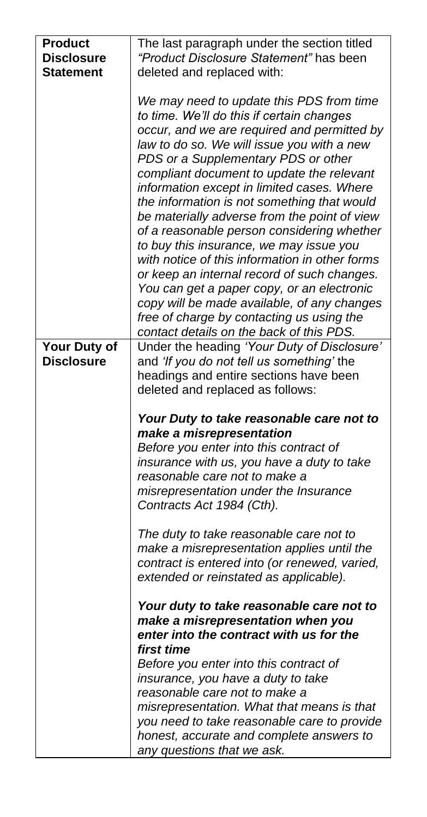| <b>Product</b>    | The last paragraph under the section titled                                                                                                                                                                                                                                                                                                                                                                                                                                                                                                                                                                                                                                                                                                                                                         |
|-------------------|-----------------------------------------------------------------------------------------------------------------------------------------------------------------------------------------------------------------------------------------------------------------------------------------------------------------------------------------------------------------------------------------------------------------------------------------------------------------------------------------------------------------------------------------------------------------------------------------------------------------------------------------------------------------------------------------------------------------------------------------------------------------------------------------------------|
| <b>Disclosure</b> | "Product Disclosure Statement" has been                                                                                                                                                                                                                                                                                                                                                                                                                                                                                                                                                                                                                                                                                                                                                             |
| <b>Statement</b>  | deleted and replaced with:                                                                                                                                                                                                                                                                                                                                                                                                                                                                                                                                                                                                                                                                                                                                                                          |
|                   | We may need to update this PDS from time<br>to time. We'll do this if certain changes<br>occur, and we are required and permitted by<br>law to do so. We will issue you with a new<br>PDS or a Supplementary PDS or other<br>compliant document to update the relevant<br>information except in limited cases. Where<br>the information is not something that would<br>be materially adverse from the point of view<br>of a reasonable person considering whether<br>to buy this insurance, we may issue you<br>with notice of this information in other forms<br>or keep an internal record of such changes.<br>You can get a paper copy, or an electronic<br>copy will be made available, of any changes<br>free of charge by contacting us using the<br>contact details on the back of this PDS. |
| Your Duty of      | Under the heading 'Your Duty of Disclosure'                                                                                                                                                                                                                                                                                                                                                                                                                                                                                                                                                                                                                                                                                                                                                         |
| <b>Disclosure</b> | and 'If you do not tell us something' the                                                                                                                                                                                                                                                                                                                                                                                                                                                                                                                                                                                                                                                                                                                                                           |
|                   | headings and entire sections have been                                                                                                                                                                                                                                                                                                                                                                                                                                                                                                                                                                                                                                                                                                                                                              |
|                   | deleted and replaced as follows:                                                                                                                                                                                                                                                                                                                                                                                                                                                                                                                                                                                                                                                                                                                                                                    |
|                   |                                                                                                                                                                                                                                                                                                                                                                                                                                                                                                                                                                                                                                                                                                                                                                                                     |
|                   | Your Duty to take reasonable care not to                                                                                                                                                                                                                                                                                                                                                                                                                                                                                                                                                                                                                                                                                                                                                            |
|                   | make a misrepresentation                                                                                                                                                                                                                                                                                                                                                                                                                                                                                                                                                                                                                                                                                                                                                                            |
|                   | Before you enter into this contract of                                                                                                                                                                                                                                                                                                                                                                                                                                                                                                                                                                                                                                                                                                                                                              |
|                   | insurance with us, you have a duty to take<br>reasonable care not to make a                                                                                                                                                                                                                                                                                                                                                                                                                                                                                                                                                                                                                                                                                                                         |
|                   | misrepresentation under the Insurance                                                                                                                                                                                                                                                                                                                                                                                                                                                                                                                                                                                                                                                                                                                                                               |
|                   | Contracts Act 1984 (Cth).                                                                                                                                                                                                                                                                                                                                                                                                                                                                                                                                                                                                                                                                                                                                                                           |
|                   |                                                                                                                                                                                                                                                                                                                                                                                                                                                                                                                                                                                                                                                                                                                                                                                                     |
|                   | The duty to take reasonable care not to                                                                                                                                                                                                                                                                                                                                                                                                                                                                                                                                                                                                                                                                                                                                                             |
|                   | make a misrepresentation applies until the                                                                                                                                                                                                                                                                                                                                                                                                                                                                                                                                                                                                                                                                                                                                                          |
|                   | contract is entered into (or renewed, varied,                                                                                                                                                                                                                                                                                                                                                                                                                                                                                                                                                                                                                                                                                                                                                       |
|                   | extended or reinstated as applicable).                                                                                                                                                                                                                                                                                                                                                                                                                                                                                                                                                                                                                                                                                                                                                              |
|                   | Your duty to take reasonable care not to                                                                                                                                                                                                                                                                                                                                                                                                                                                                                                                                                                                                                                                                                                                                                            |
|                   | make a misrepresentation when you<br>enter into the contract with us for the                                                                                                                                                                                                                                                                                                                                                                                                                                                                                                                                                                                                                                                                                                                        |
|                   | first time                                                                                                                                                                                                                                                                                                                                                                                                                                                                                                                                                                                                                                                                                                                                                                                          |
|                   | Before you enter into this contract of                                                                                                                                                                                                                                                                                                                                                                                                                                                                                                                                                                                                                                                                                                                                                              |
|                   | insurance, you have a duty to take                                                                                                                                                                                                                                                                                                                                                                                                                                                                                                                                                                                                                                                                                                                                                                  |
|                   | reasonable care not to make a                                                                                                                                                                                                                                                                                                                                                                                                                                                                                                                                                                                                                                                                                                                                                                       |
|                   | misrepresentation. What that means is that                                                                                                                                                                                                                                                                                                                                                                                                                                                                                                                                                                                                                                                                                                                                                          |
|                   | you need to take reasonable care to provide                                                                                                                                                                                                                                                                                                                                                                                                                                                                                                                                                                                                                                                                                                                                                         |
|                   | honest, accurate and complete answers to                                                                                                                                                                                                                                                                                                                                                                                                                                                                                                                                                                                                                                                                                                                                                            |
|                   | any questions that we ask.                                                                                                                                                                                                                                                                                                                                                                                                                                                                                                                                                                                                                                                                                                                                                                          |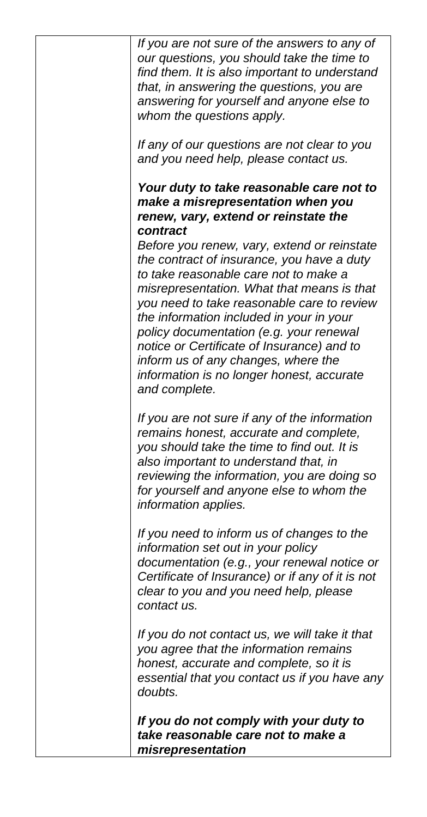| If you are not sure of the answers to any of<br>our questions, you should take the time to<br>find them. It is also important to understand<br>that, in answering the questions, you are<br>answering for yourself and anyone else to<br>whom the questions apply.                                                                                                                                                                                                                                                                                                                                            |
|---------------------------------------------------------------------------------------------------------------------------------------------------------------------------------------------------------------------------------------------------------------------------------------------------------------------------------------------------------------------------------------------------------------------------------------------------------------------------------------------------------------------------------------------------------------------------------------------------------------|
| If any of our questions are not clear to you<br>and you need help, please contact us.                                                                                                                                                                                                                                                                                                                                                                                                                                                                                                                         |
| Your duty to take reasonable care not to<br>make a misrepresentation when you<br>renew, vary, extend or reinstate the<br>contract<br>Before you renew, vary, extend or reinstate<br>the contract of insurance, you have a duty<br>to take reasonable care not to make a<br>misrepresentation. What that means is that<br>you need to take reasonable care to review<br>the information included in your in your<br>policy documentation (e.g. your renewal<br>notice or Certificate of Insurance) and to<br>inform us of any changes, where the<br>information is no longer honest, accurate<br>and complete. |
| If you are not sure if any of the information<br>remains honest, accurate and complete,<br>you should take the time to find out. It is<br>also important to understand that, in<br>reviewing the information, you are doing so<br>for yourself and anyone else to whom the<br>information applies.                                                                                                                                                                                                                                                                                                            |
| If you need to inform us of changes to the<br>information set out in your policy<br>documentation (e.g., your renewal notice or<br>Certificate of Insurance) or if any of it is not<br>clear to you and you need help, please<br>contact us.                                                                                                                                                                                                                                                                                                                                                                  |
| If you do not contact us, we will take it that<br>you agree that the information remains<br>honest, accurate and complete, so it is<br>essential that you contact us if you have any<br>doubts.                                                                                                                                                                                                                                                                                                                                                                                                               |
| If you do not comply with your duty to<br>take reasonable care not to make a<br>misrepresentation                                                                                                                                                                                                                                                                                                                                                                                                                                                                                                             |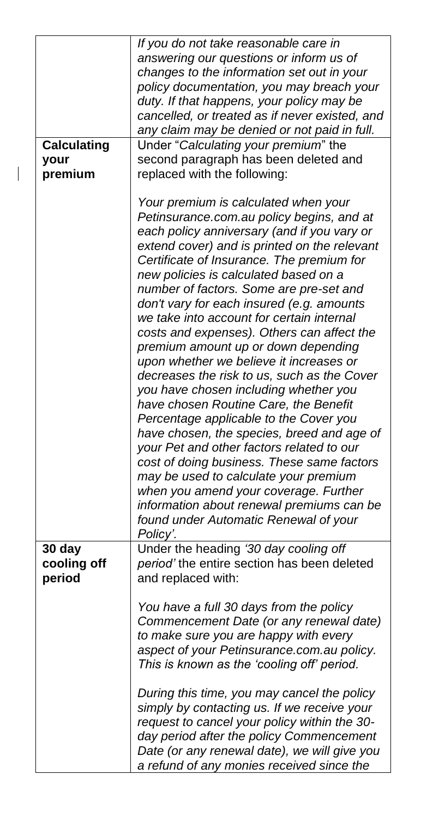| policy documentation, you may breach your                                                |
|------------------------------------------------------------------------------------------|
|                                                                                          |
| cancelled, or treated as if never existed, and                                           |
|                                                                                          |
|                                                                                          |
|                                                                                          |
|                                                                                          |
|                                                                                          |
|                                                                                          |
|                                                                                          |
|                                                                                          |
| extend cover) and is printed on the relevant                                             |
|                                                                                          |
|                                                                                          |
|                                                                                          |
|                                                                                          |
|                                                                                          |
|                                                                                          |
|                                                                                          |
|                                                                                          |
|                                                                                          |
| decreases the risk to us, such as the Cover                                              |
|                                                                                          |
|                                                                                          |
|                                                                                          |
| have chosen, the species, breed and age of                                               |
|                                                                                          |
| cost of doing business. These same factors                                               |
|                                                                                          |
|                                                                                          |
| information about renewal premiums can be                                                |
|                                                                                          |
|                                                                                          |
|                                                                                          |
|                                                                                          |
|                                                                                          |
|                                                                                          |
|                                                                                          |
| Commencement Date (or any renewal date)                                                  |
|                                                                                          |
|                                                                                          |
|                                                                                          |
|                                                                                          |
|                                                                                          |
|                                                                                          |
|                                                                                          |
|                                                                                          |
|                                                                                          |
| day period after the policy Commencement<br>Date (or any renewal date), we will give you |
|                                                                                          |

 $\begin{array}{c} \hline \end{array}$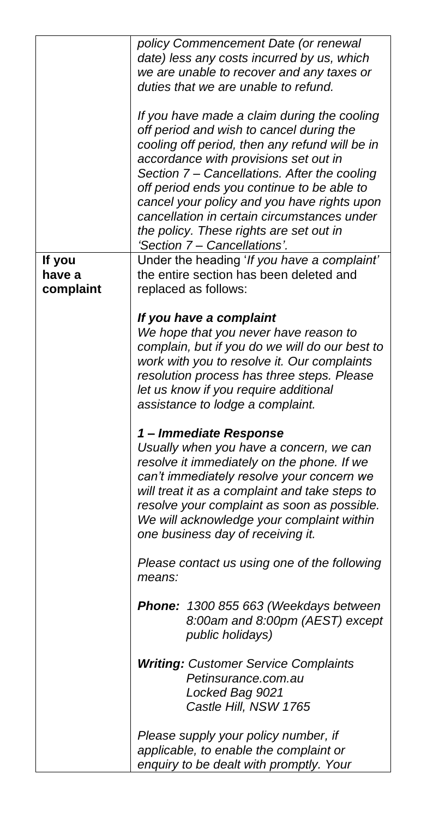|                  | policy Commencement Date (or renewal<br>date) less any costs incurred by us, which<br>we are unable to recover and any taxes or<br>duties that we are unable to refund.<br>If you have made a claim during the cooling<br>off period and wish to cancel during the<br>cooling off period, then any refund will be in<br>accordance with provisions set out in<br>Section 7 - Cancellations. After the cooling<br>off period ends you continue to be able to<br>cancel your policy and you have rights upon<br>cancellation in certain circumstances under<br>the policy. These rights are set out in<br>'Section 7 - Cancellations'. |
|------------------|--------------------------------------------------------------------------------------------------------------------------------------------------------------------------------------------------------------------------------------------------------------------------------------------------------------------------------------------------------------------------------------------------------------------------------------------------------------------------------------------------------------------------------------------------------------------------------------------------------------------------------------|
| If you<br>have a | Under the heading 'If you have a complaint'<br>the entire section has been deleted and                                                                                                                                                                                                                                                                                                                                                                                                                                                                                                                                               |
| complaint        | replaced as follows:                                                                                                                                                                                                                                                                                                                                                                                                                                                                                                                                                                                                                 |
|                  | If you have a complaint<br>We hope that you never have reason to<br>complain, but if you do we will do our best to<br>work with you to resolve it. Our complaints<br>resolution process has three steps. Please<br>let us know if you require additional<br>assistance to lodge a complaint.                                                                                                                                                                                                                                                                                                                                         |
|                  | 1- Immediate Response<br>Usually when you have a concern, we can<br>resolve it immediately on the phone. If we<br>can't immediately resolve your concern we<br>will treat it as a complaint and take steps to<br>resolve your complaint as soon as possible.<br>We will acknowledge your complaint within<br>one business day of receiving it.                                                                                                                                                                                                                                                                                       |
|                  | Please contact us using one of the following<br>means:                                                                                                                                                                                                                                                                                                                                                                                                                                                                                                                                                                               |
|                  | Phone: 1300 855 663 (Weekdays between<br>8:00am and 8:00pm (AEST) except<br>public holidays)                                                                                                                                                                                                                                                                                                                                                                                                                                                                                                                                         |
|                  | <b>Writing: Customer Service Complaints</b><br>Petinsurance.com.au<br>Locked Bag 9021<br>Castle Hill, NSW 1765                                                                                                                                                                                                                                                                                                                                                                                                                                                                                                                       |
|                  | Please supply your policy number, if<br>applicable, to enable the complaint or<br>enquiry to be dealt with promptly. Your                                                                                                                                                                                                                                                                                                                                                                                                                                                                                                            |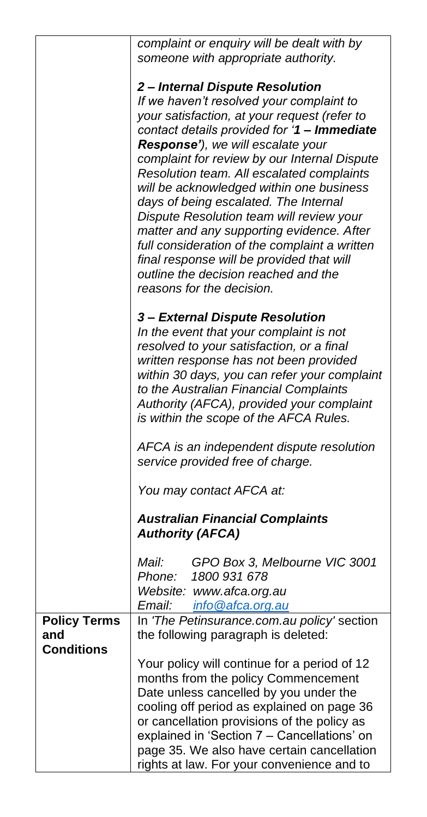|                     | complaint or enquiry will be dealt with by                                            |
|---------------------|---------------------------------------------------------------------------------------|
|                     | someone with appropriate authority.                                                   |
|                     |                                                                                       |
|                     | 2- Internal Dispute Resolution                                                        |
|                     | If we haven't resolved your complaint to                                              |
|                     | your satisfaction, at your request (refer to                                          |
|                     | contact details provided for '1 - Immediate                                           |
|                     | Response'), we will escalate your                                                     |
|                     | complaint for review by our Internal Dispute                                          |
|                     | Resolution team. All escalated complaints                                             |
|                     | will be acknowledged within one business                                              |
|                     | days of being escalated. The Internal                                                 |
|                     | Dispute Resolution team will review your<br>matter and any supporting evidence. After |
|                     | full consideration of the complaint a written                                         |
|                     | final response will be provided that will                                             |
|                     | outline the decision reached and the                                                  |
|                     | reasons for the decision.                                                             |
|                     |                                                                                       |
|                     | 3- External Dispute Resolution                                                        |
|                     | In the event that your complaint is not                                               |
|                     | resolved to your satisfaction, or a final                                             |
|                     | written response has not been provided                                                |
|                     | within 30 days, you can refer your complaint                                          |
|                     | to the Australian Financial Complaints                                                |
|                     | Authority (AFCA), provided your complaint                                             |
|                     | is within the scope of the AFCA Rules.                                                |
|                     | AFCA is an independent dispute resolution                                             |
|                     | service provided free of charge.                                                      |
|                     |                                                                                       |
|                     | You may contact AFCA at:                                                              |
|                     | <b>Australian Financial Complaints</b>                                                |
|                     | <b>Authority (AFCA)</b>                                                               |
|                     | GPO Box 3, Melbourne VIC 3001<br>Mail:                                                |
|                     | 1800 931 678<br>Phone:                                                                |
|                     | Website: www.afca.org.au                                                              |
|                     | info@afca.org.au<br>Email:                                                            |
| <b>Policy Terms</b> | In 'The Petinsurance.com.au policy' section                                           |
| and                 | the following paragraph is deleted:                                                   |
| <b>Conditions</b>   |                                                                                       |
|                     | Your policy will continue for a period of 12                                          |
|                     | months from the policy Commencement                                                   |
|                     | Date unless cancelled by you under the<br>cooling off period as explained on page 36  |
|                     | or cancellation provisions of the policy as                                           |
|                     | explained in 'Section 7 - Cancellations' on                                           |
|                     | page 35. We also have certain cancellation                                            |
|                     | rights at law. For your convenience and to                                            |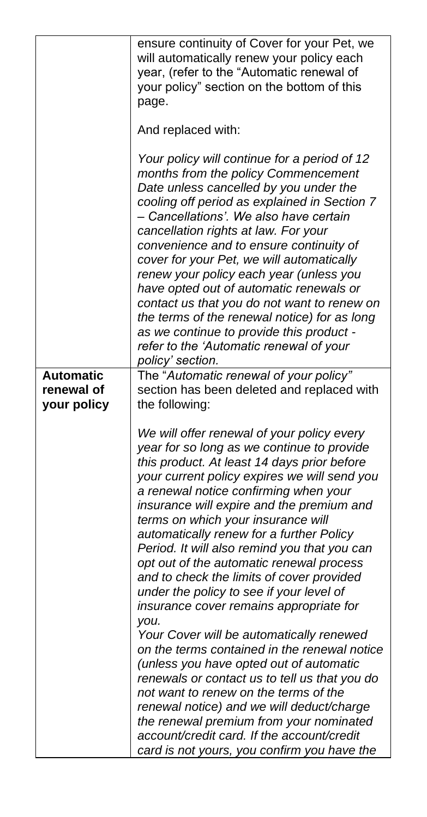|                                | ensure continuity of Cover for your Pet, we<br>will automatically renew your policy each<br>year, (refer to the "Automatic renewal of<br>your policy" section on the bottom of this<br>page.<br>And replaced with:<br>Your policy will continue for a period of 12<br>months from the policy Commencement<br>Date unless cancelled by you under the<br>cooling off period as explained in Section 7<br>- Cancellations'. We also have certain<br>cancellation rights at law. For your<br>convenience and to ensure continuity of<br>cover for your Pet, we will automatically<br>renew your policy each year (unless you<br>have opted out of automatic renewals or<br>contact us that you do not want to renew on<br>the terms of the renewal notice) for as long<br>as we continue to provide this product -<br>refer to the 'Automatic renewal of your<br>policy' section.                                                                                                  |
|--------------------------------|--------------------------------------------------------------------------------------------------------------------------------------------------------------------------------------------------------------------------------------------------------------------------------------------------------------------------------------------------------------------------------------------------------------------------------------------------------------------------------------------------------------------------------------------------------------------------------------------------------------------------------------------------------------------------------------------------------------------------------------------------------------------------------------------------------------------------------------------------------------------------------------------------------------------------------------------------------------------------------|
| <b>Automatic</b><br>renewal of | The "Automatic renewal of your policy"<br>section has been deleted and replaced with                                                                                                                                                                                                                                                                                                                                                                                                                                                                                                                                                                                                                                                                                                                                                                                                                                                                                           |
| your policy                    | the following:                                                                                                                                                                                                                                                                                                                                                                                                                                                                                                                                                                                                                                                                                                                                                                                                                                                                                                                                                                 |
|                                | We will offer renewal of your policy every<br>year for so long as we continue to provide<br>this product. At least 14 days prior before<br>your current policy expires we will send you<br>a renewal notice confirming when your<br>insurance will expire and the premium and<br>terms on which your insurance will<br>automatically renew for a further Policy<br>Period. It will also remind you that you can<br>opt out of the automatic renewal process<br>and to check the limits of cover provided<br>under the policy to see if your level of<br>insurance cover remains appropriate for<br>you.<br>Your Cover will be automatically renewed<br>on the terms contained in the renewal notice<br>(unless you have opted out of automatic<br>renewals or contact us to tell us that you do<br>not want to renew on the terms of the<br>renewal notice) and we will deduct/charge<br>the renewal premium from your nominated<br>account/credit card. If the account/credit |
|                                | card is not yours, you confirm you have the                                                                                                                                                                                                                                                                                                                                                                                                                                                                                                                                                                                                                                                                                                                                                                                                                                                                                                                                    |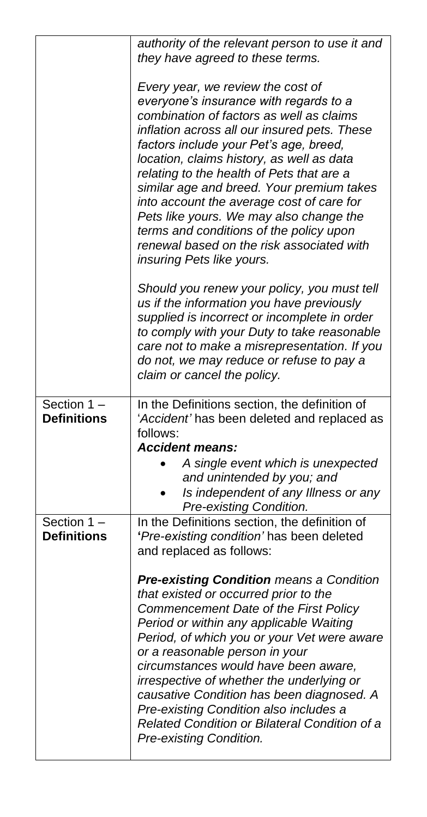|                                   | authority of the relevant person to use it and<br>they have agreed to these terms.<br>Every year, we review the cost of<br>everyone's insurance with regards to a<br>combination of factors as well as claims<br>inflation across all our insured pets. These<br>factors include your Pet's age, breed,<br>location, claims history, as well as data<br>relating to the health of Pets that are a<br>similar age and breed. Your premium takes<br>into account the average cost of care for<br>Pets like yours. We may also change the<br>terms and conditions of the policy upon<br>renewal based on the risk associated with<br>insuring Pets like yours. |
|-----------------------------------|-------------------------------------------------------------------------------------------------------------------------------------------------------------------------------------------------------------------------------------------------------------------------------------------------------------------------------------------------------------------------------------------------------------------------------------------------------------------------------------------------------------------------------------------------------------------------------------------------------------------------------------------------------------|
|                                   | Should you renew your policy, you must tell<br>us if the information you have previously<br>supplied is incorrect or incomplete in order<br>to comply with your Duty to take reasonable<br>care not to make a misrepresentation. If you<br>do not, we may reduce or refuse to pay a<br>claim or cancel the policy.                                                                                                                                                                                                                                                                                                                                          |
| Section 1-<br><b>Definitions</b>  | In the Definitions section, the definition of<br>'Accident' has been deleted and replaced as<br>follows:<br><b>Accident means:</b><br>A single event which is unexpected<br>and unintended by you; and<br>Is independent of any Illness or any<br>Pre-existing Condition.                                                                                                                                                                                                                                                                                                                                                                                   |
| Section 1 -<br><b>Definitions</b> | In the Definitions section, the definition of<br>'Pre-existing condition' has been deleted<br>and replaced as follows:<br><b>Pre-existing Condition means a Condition</b><br>that existed or occurred prior to the<br>Commencement Date of the First Policy<br>Period or within any applicable Waiting<br>Period, of which you or your Vet were aware<br>or a reasonable person in your<br>circumstances would have been aware,<br>irrespective of whether the underlying or<br>causative Condition has been diagnosed. A<br>Pre-existing Condition also includes a<br>Related Condition or Bilateral Condition of a<br>Pre-existing Condition.             |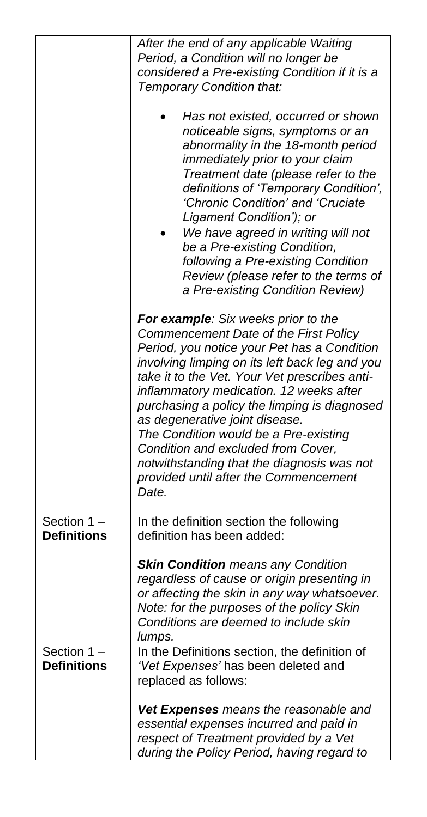|                                  | After the end of any applicable Waiting<br>Period, a Condition will no longer be<br>considered a Pre-existing Condition if it is a<br>Temporary Condition that:                                                                                                                                                                                                                                                                                                                                                                            |
|----------------------------------|--------------------------------------------------------------------------------------------------------------------------------------------------------------------------------------------------------------------------------------------------------------------------------------------------------------------------------------------------------------------------------------------------------------------------------------------------------------------------------------------------------------------------------------------|
|                                  | Has not existed, occurred or shown<br>noticeable signs, symptoms or an<br>abnormality in the 18-month period<br>immediately prior to your claim<br>Treatment date (please refer to the<br>definitions of 'Temporary Condition',<br>'Chronic Condition' and 'Cruciate<br>Ligament Condition'); or<br>We have agreed in writing will not<br>be a Pre-existing Condition,<br>following a Pre-existing Condition<br>Review (please refer to the terms of<br>a Pre-existing Condition Review)                                                   |
|                                  | For example: Six weeks prior to the<br>Commencement Date of the First Policy<br>Period, you notice your Pet has a Condition<br>involving limping on its left back leg and you<br>take it to the Vet. Your Vet prescribes anti-<br>inflammatory medication. 12 weeks after<br>purchasing a policy the limping is diagnosed<br>as degenerative joint disease.<br>The Condition would be a Pre-existing<br>Condition and excluded from Cover,<br>notwithstanding that the diagnosis was not<br>provided until after the Commencement<br>Date. |
| Section 1<br><b>Definitions</b>  | In the definition section the following<br>definition has been added:                                                                                                                                                                                                                                                                                                                                                                                                                                                                      |
|                                  | <b>Skin Condition</b> means any Condition<br>regardless of cause or origin presenting in<br>or affecting the skin in any way whatsoever.<br>Note: for the purposes of the policy Skin<br>Conditions are deemed to include skin<br>lumps.                                                                                                                                                                                                                                                                                                   |
| Section 1-<br><b>Definitions</b> | In the Definitions section, the definition of<br>'Vet Expenses' has been deleted and<br>replaced as follows:                                                                                                                                                                                                                                                                                                                                                                                                                               |
|                                  | Vet Expenses means the reasonable and<br>essential expenses incurred and paid in<br>respect of Treatment provided by a Vet<br>during the Policy Period, having regard to                                                                                                                                                                                                                                                                                                                                                                   |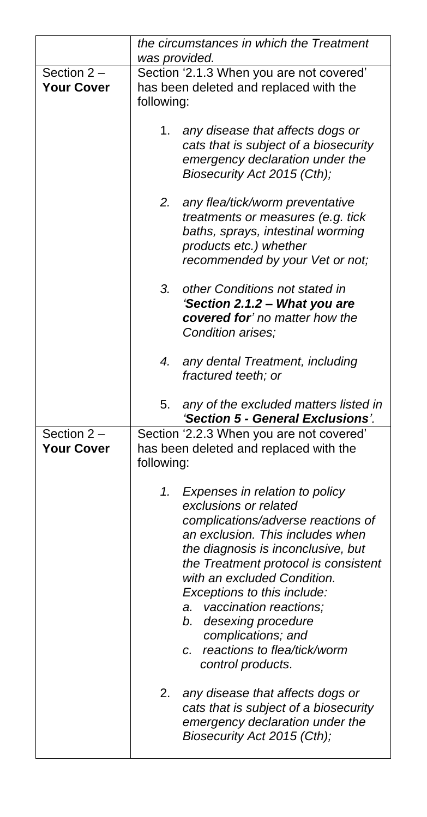|                   | the circumstances in which the Treatment<br>was provided.      |
|-------------------|----------------------------------------------------------------|
|                   |                                                                |
| Section 2-        | Section '2.1.3 When you are not covered'                       |
| <b>Your Cover</b> | has been deleted and replaced with the                         |
|                   | following:                                                     |
|                   |                                                                |
|                   | 1.<br>any disease that affects dogs or                         |
|                   | cats that is subject of a biosecurity                          |
|                   | emergency declaration under the                                |
|                   | Biosecurity Act 2015 (Cth);                                    |
|                   |                                                                |
|                   | 2.                                                             |
|                   | any flea/tick/worm preventative                                |
|                   | treatments or measures (e.g. tick                              |
|                   | baths, sprays, intestinal worming                              |
|                   | products etc.) whether                                         |
|                   | recommended by your Vet or not;                                |
|                   | 3.<br>other Conditions not stated in                           |
|                   | 'Section 2.1.2 - What you are                                  |
|                   | covered for' no matter how the                                 |
|                   | Condition arises;                                              |
|                   |                                                                |
|                   | 4.<br>any dental Treatment, including                          |
|                   | fractured teeth; or                                            |
|                   |                                                                |
|                   |                                                                |
|                   | 5.<br>any of the excluded matters listed in                    |
|                   | 'Section 5 - General Exclusions'.                              |
| Section $2 -$     | Section '2.2.3 When you are not covered'                       |
| <b>Your Cover</b> | has been deleted and replaced with the                         |
|                   | following:                                                     |
|                   |                                                                |
|                   | 1.<br>Expenses in relation to policy                           |
|                   | exclusions or related                                          |
|                   | complications/adverse reactions of                             |
|                   | an exclusion. This includes when                               |
|                   |                                                                |
|                   | the diagnosis is inconclusive, but                             |
|                   | the Treatment protocol is consistent                           |
|                   | with an excluded Condition.                                    |
|                   | Exceptions to this include:                                    |
|                   | vaccination reactions;<br>а.                                   |
|                   | b.<br>desexing procedure                                       |
|                   | complications; and                                             |
|                   | reactions to flea/tick/worm<br>с.                              |
|                   | control products.                                              |
|                   |                                                                |
|                   | 2.<br>any disease that affects dogs or                         |
|                   | cats that is subject of a biosecurity                          |
|                   | emergency declaration under the<br>Biosecurity Act 2015 (Cth); |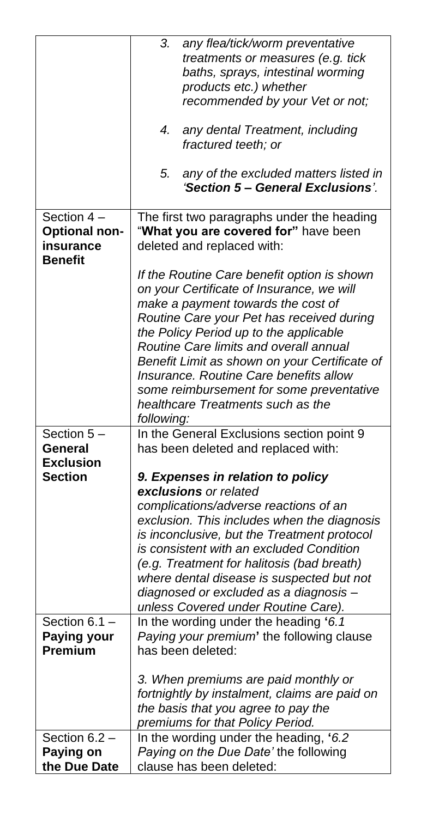|                                                                   | 3.<br>any flea/tick/worm preventative<br>treatments or measures (e.g. tick<br>baths, sprays, intestinal worming<br>products etc.) whether                                                                                                                                                                                                                                                                                                                 |
|-------------------------------------------------------------------|-----------------------------------------------------------------------------------------------------------------------------------------------------------------------------------------------------------------------------------------------------------------------------------------------------------------------------------------------------------------------------------------------------------------------------------------------------------|
|                                                                   | recommended by your Vet or not;                                                                                                                                                                                                                                                                                                                                                                                                                           |
|                                                                   | 4.<br>any dental Treatment, including<br>fractured teeth; or                                                                                                                                                                                                                                                                                                                                                                                              |
|                                                                   | 5.<br>any of the excluded matters listed in<br>'Section 5 - General Exclusions'.                                                                                                                                                                                                                                                                                                                                                                          |
| Section 4-<br><b>Optional non-</b><br>insurance<br><b>Benefit</b> | The first two paragraphs under the heading<br>"What you are covered for" have been<br>deleted and replaced with:                                                                                                                                                                                                                                                                                                                                          |
|                                                                   | If the Routine Care benefit option is shown<br>on your Certificate of Insurance, we will<br>make a payment towards the cost of<br>Routine Care your Pet has received during<br>the Policy Period up to the applicable<br>Routine Care limits and overall annual<br>Benefit Limit as shown on your Certificate of<br>Insurance. Routine Care benefits allow<br>some reimbursement for some preventative<br>healthcare Treatments such as the<br>following: |
| Section 5-<br>General                                             | In the General Exclusions section point 9<br>has been deleted and replaced with:                                                                                                                                                                                                                                                                                                                                                                          |
| <b>Exclusion</b><br><b>Section</b>                                | 9. Expenses in relation to policy                                                                                                                                                                                                                                                                                                                                                                                                                         |
|                                                                   | exclusions or related                                                                                                                                                                                                                                                                                                                                                                                                                                     |
|                                                                   | complications/adverse reactions of an<br>exclusion. This includes when the diagnosis<br>is inconclusive, but the Treatment protocol<br>is consistent with an excluded Condition<br>(e.g. Treatment for halitosis (bad breath)<br>where dental disease is suspected but not<br>diagnosed or excluded as a diagnosis -<br>unless Covered under Routine Care).                                                                                               |
| Section 6.1 -<br>Paying your                                      | In the wording under the heading '6.1<br>Paying your premium' the following clause                                                                                                                                                                                                                                                                                                                                                                        |
| Premium                                                           | has been deleted:                                                                                                                                                                                                                                                                                                                                                                                                                                         |
|                                                                   | 3. When premiums are paid monthly or<br>fortnightly by instalment, claims are paid on<br>the basis that you agree to pay the<br>premiums for that Policy Period.                                                                                                                                                                                                                                                                                          |
| Section 6.2 -                                                     | In the wording under the heading, '6.2<br>Paying on the Due Date' the following                                                                                                                                                                                                                                                                                                                                                                           |
| Paying on<br>the Due Date                                         | clause has been deleted:                                                                                                                                                                                                                                                                                                                                                                                                                                  |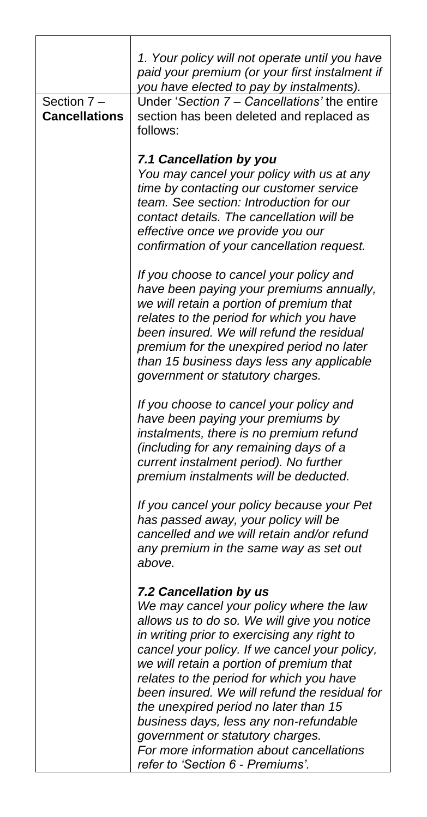| Section 7-<br><b>Cancellations</b> | 1. Your policy will not operate until you have<br>paid your premium (or your first instalment if<br>you have elected to pay by instalments).<br>Under 'Section 7 - Cancellations' the entire<br>section has been deleted and replaced as<br>follows:                                                                                                                                                                                         |
|------------------------------------|----------------------------------------------------------------------------------------------------------------------------------------------------------------------------------------------------------------------------------------------------------------------------------------------------------------------------------------------------------------------------------------------------------------------------------------------|
|                                    | 7.1 Cancellation by you<br>You may cancel your policy with us at any<br>time by contacting our customer service<br>team. See section: Introduction for our<br>contact details. The cancellation will be<br>effective once we provide you our<br>confirmation of your cancellation request.                                                                                                                                                   |
|                                    | If you choose to cancel your policy and<br>have been paying your premiums annually,<br>we will retain a portion of premium that<br>relates to the period for which you have<br>been insured. We will refund the residual<br>premium for the unexpired period no later<br>than 15 business days less any applicable<br>government or statutory charges.                                                                                       |
|                                    | If you choose to cancel your policy and<br>have been paying your premiums by<br>instalments, there is no premium refund<br>(including for any remaining days of a<br>current instalment period). No further<br>premium instalments will be deducted.                                                                                                                                                                                         |
|                                    | If you cancel your policy because your Pet<br>has passed away, your policy will be<br>cancelled and we will retain and/or refund<br>any premium in the same way as set out<br>above.                                                                                                                                                                                                                                                         |
|                                    | 7.2 Cancellation by us<br>We may cancel your policy where the law<br>allows us to do so. We will give you notice<br>in writing prior to exercising any right to<br>cancel your policy. If we cancel your policy,<br>we will retain a portion of premium that<br>relates to the period for which you have<br>been insured. We will refund the residual for<br>the unexpired period no later than 15<br>business days, less any non-refundable |
|                                    | government or statutory charges.<br>For more information about cancellations<br>refer to 'Section 6 - Premiums'.                                                                                                                                                                                                                                                                                                                             |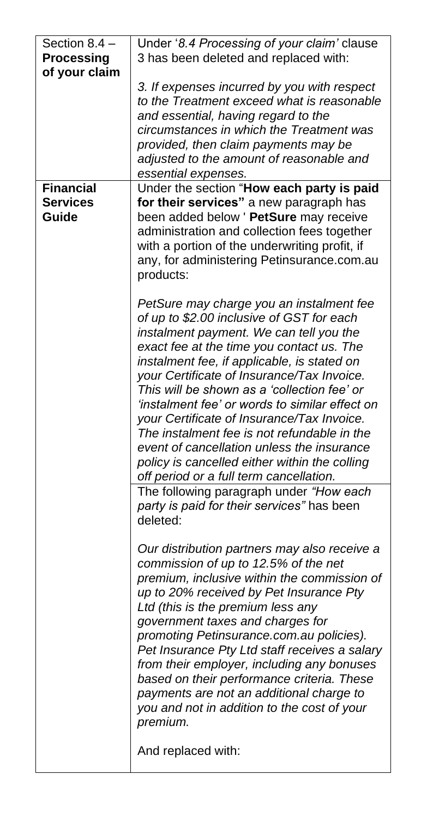| Section 8.4 -<br><b>Processing</b><br>of your claim | Under '8.4 Processing of your claim' clause<br>3 has been deleted and replaced with:<br>3. If expenses incurred by you with respect<br>to the Treatment exceed what is reasonable<br>and essential, having regard to the<br>circumstances in which the Treatment was<br>provided, then claim payments may be                                                                                                                                                                                                                                                                                                       |
|-----------------------------------------------------|--------------------------------------------------------------------------------------------------------------------------------------------------------------------------------------------------------------------------------------------------------------------------------------------------------------------------------------------------------------------------------------------------------------------------------------------------------------------------------------------------------------------------------------------------------------------------------------------------------------------|
|                                                     | adjusted to the amount of reasonable and<br>essential expenses.                                                                                                                                                                                                                                                                                                                                                                                                                                                                                                                                                    |
| <b>Financial</b><br><b>Services</b><br>Guide        | Under the section "How each party is paid<br>for their services" a new paragraph has<br>been added below ' PetSure may receive<br>administration and collection fees together<br>with a portion of the underwriting profit, if<br>any, for administering Petinsurance.com.au<br>products:                                                                                                                                                                                                                                                                                                                          |
|                                                     | PetSure may charge you an instalment fee<br>of up to \$2.00 inclusive of GST for each<br>instalment payment. We can tell you the<br>exact fee at the time you contact us. The<br>instalment fee, if applicable, is stated on<br>your Certificate of Insurance/Tax Invoice.<br>This will be shown as a 'collection fee' or<br>'instalment fee' or words to similar effect on<br>your Certificate of Insurance/Tax Invoice.<br>The instalment fee is not refundable in the<br>event of cancellation unless the insurance<br>policy is cancelled either within the colling<br>off period or a full term cancellation. |
|                                                     | The following paragraph under "How each<br>party is paid for their services" has been<br>deleted:                                                                                                                                                                                                                                                                                                                                                                                                                                                                                                                  |
|                                                     | Our distribution partners may also receive a<br>commission of up to 12.5% of the net<br>premium, inclusive within the commission of<br>up to 20% received by Pet Insurance Pty<br>Ltd (this is the premium less any<br>government taxes and charges for<br>promoting Petinsurance.com.au policies).<br>Pet Insurance Pty Ltd staff receives a salary<br>from their employer, including any bonuses<br>based on their performance criteria. These<br>payments are not an additional charge to<br>you and not in addition to the cost of your<br>premium.                                                            |
|                                                     | And replaced with:                                                                                                                                                                                                                                                                                                                                                                                                                                                                                                                                                                                                 |